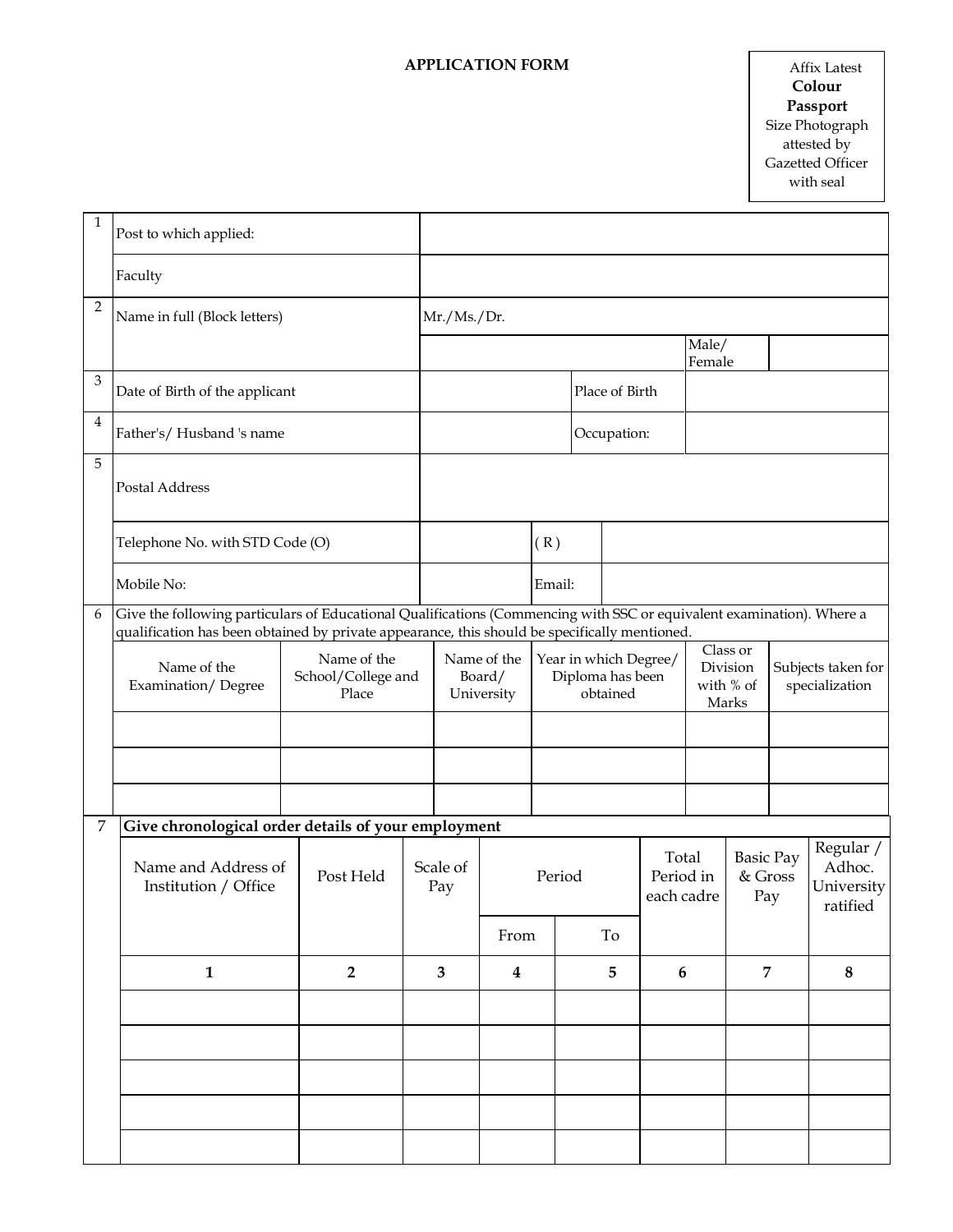## **APPLICATION FORM**

| $\mathbf{1}$   | Post to which applied:                                                                                                                                                                                                 |                                            |  |                                    |                                     |        |                                                       |                                  |                                            |                                    |                                      |                                  |          |
|----------------|------------------------------------------------------------------------------------------------------------------------------------------------------------------------------------------------------------------------|--------------------------------------------|--|------------------------------------|-------------------------------------|--------|-------------------------------------------------------|----------------------------------|--------------------------------------------|------------------------------------|--------------------------------------|----------------------------------|----------|
|                | Faculty                                                                                                                                                                                                                |                                            |  |                                    |                                     |        |                                                       |                                  |                                            |                                    |                                      |                                  |          |
| $\overline{2}$ | Name in full (Block letters)                                                                                                                                                                                           |                                            |  | Mr./Ms./Dr.                        |                                     |        |                                                       |                                  |                                            |                                    |                                      |                                  |          |
|                |                                                                                                                                                                                                                        |                                            |  |                                    |                                     |        |                                                       |                                  |                                            | Male/<br>Female                    |                                      |                                  |          |
| $\mathfrak{Z}$ | Date of Birth of the applicant                                                                                                                                                                                         |                                            |  | Place of Birth                     |                                     |        |                                                       |                                  |                                            |                                    |                                      |                                  |          |
| $\overline{4}$ | Father's/Husband 's name                                                                                                                                                                                               |                                            |  |                                    | Occupation:                         |        |                                                       |                                  |                                            |                                    |                                      |                                  |          |
| 5              | Postal Address                                                                                                                                                                                                         |                                            |  |                                    |                                     |        |                                                       |                                  |                                            |                                    |                                      |                                  |          |
|                | Telephone No. with STD Code (O)                                                                                                                                                                                        |                                            |  |                                    | (R)                                 |        |                                                       |                                  |                                            |                                    |                                      |                                  |          |
|                | Mobile No:                                                                                                                                                                                                             |                                            |  |                                    |                                     | Email: |                                                       |                                  |                                            |                                    |                                      |                                  |          |
| 6              | Give the following particulars of Educational Qualifications (Commencing with SSC or equivalent examination). Where a<br>qualification has been obtained by private appearance, this should be specifically mentioned. |                                            |  |                                    |                                     |        |                                                       |                                  |                                            |                                    |                                      |                                  |          |
|                | Name of the<br>Examination/Degree                                                                                                                                                                                      | Name of the<br>School/College and<br>Place |  |                                    | Name of the<br>Board/<br>University |        | Year in which Degree/<br>Diploma has been<br>obtained |                                  | Class or<br>Division<br>with % of<br>Marks |                                    | Subjects taken for<br>specialization |                                  |          |
|                |                                                                                                                                                                                                                        |                                            |  |                                    |                                     |        |                                                       |                                  |                                            |                                    |                                      |                                  |          |
|                |                                                                                                                                                                                                                        |                                            |  |                                    |                                     |        |                                                       |                                  |                                            |                                    |                                      |                                  |          |
| 7              | Give chronological order details of your employment                                                                                                                                                                    |                                            |  |                                    |                                     |        |                                                       |                                  |                                            |                                    |                                      |                                  |          |
|                |                                                                                                                                                                                                                        |                                            |  |                                    |                                     |        |                                                       |                                  |                                            |                                    |                                      | Regular /                        |          |
|                | Name and Address of<br>Post Held<br>Institution / Office                                                                                                                                                               |                                            |  | Scale of<br>Pay                    |                                     | Period |                                                       | Total<br>Period in<br>each cadre |                                            | <b>Basic Pay</b><br>& Gross<br>Pay |                                      | Adhoc.<br>University<br>ratified |          |
|                |                                                                                                                                                                                                                        |                                            |  |                                    | From                                | To     |                                                       |                                  |                                            |                                    |                                      |                                  |          |
|                | $\overline{2}$<br>$\mathbf{1}$                                                                                                                                                                                         |                                            |  | $\overline{3}$<br>$\boldsymbol{4}$ |                                     | 5      |                                                       |                                  | $6\phantom{1}6$                            |                                    | $\overline{7}$                       |                                  | $\bf{8}$ |
|                |                                                                                                                                                                                                                        |                                            |  |                                    |                                     |        |                                                       |                                  |                                            |                                    |                                      |                                  |          |
|                |                                                                                                                                                                                                                        |                                            |  |                                    |                                     |        |                                                       |                                  |                                            |                                    |                                      |                                  |          |
|                |                                                                                                                                                                                                                        |                                            |  |                                    |                                     |        |                                                       |                                  |                                            |                                    |                                      |                                  |          |
|                |                                                                                                                                                                                                                        |                                            |  |                                    |                                     |        |                                                       |                                  |                                            |                                    |                                      |                                  |          |
|                |                                                                                                                                                                                                                        |                                            |  |                                    |                                     |        |                                                       |                                  |                                            |                                    |                                      |                                  |          |